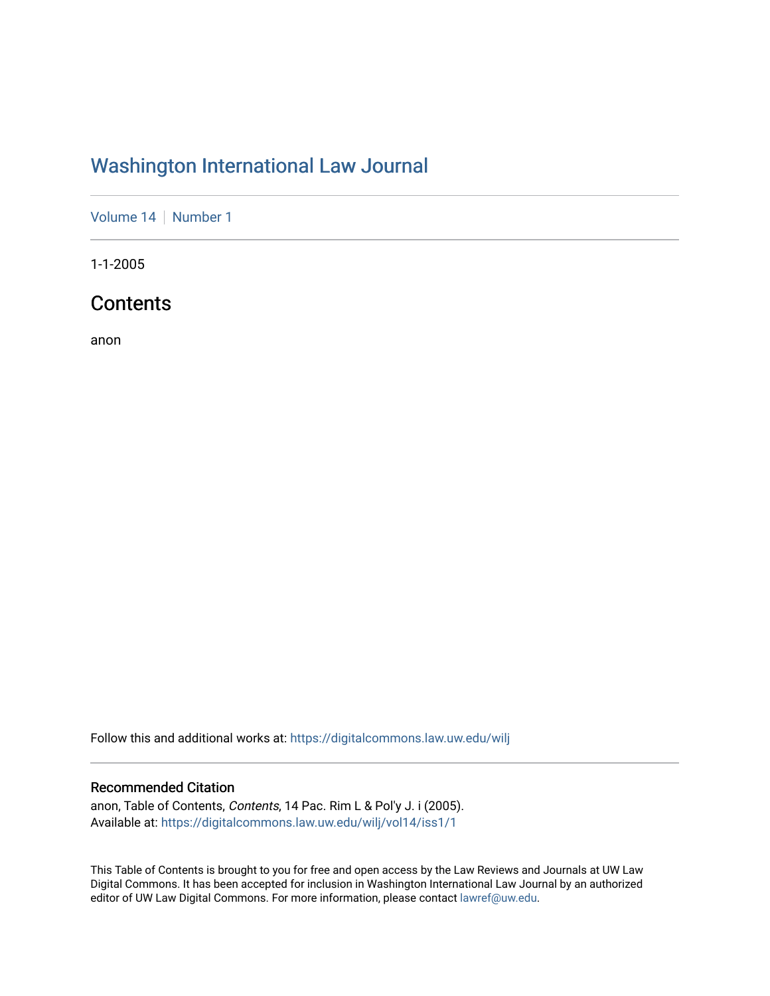# [Washington International Law Journal](https://digitalcommons.law.uw.edu/wilj)

[Volume 14](https://digitalcommons.law.uw.edu/wilj/vol14) | [Number 1](https://digitalcommons.law.uw.edu/wilj/vol14/iss1)

1-1-2005

## **Contents**

anon

Follow this and additional works at: [https://digitalcommons.law.uw.edu/wilj](https://digitalcommons.law.uw.edu/wilj?utm_source=digitalcommons.law.uw.edu%2Fwilj%2Fvol14%2Fiss1%2F1&utm_medium=PDF&utm_campaign=PDFCoverPages) 

#### Recommended Citation

anon, Table of Contents, Contents, 14 Pac. Rim L & Pol'y J. i (2005). Available at: [https://digitalcommons.law.uw.edu/wilj/vol14/iss1/1](https://digitalcommons.law.uw.edu/wilj/vol14/iss1/1?utm_source=digitalcommons.law.uw.edu%2Fwilj%2Fvol14%2Fiss1%2F1&utm_medium=PDF&utm_campaign=PDFCoverPages) 

This Table of Contents is brought to you for free and open access by the Law Reviews and Journals at UW Law Digital Commons. It has been accepted for inclusion in Washington International Law Journal by an authorized editor of UW Law Digital Commons. For more information, please contact [lawref@uw.edu](mailto:lawref@uw.edu).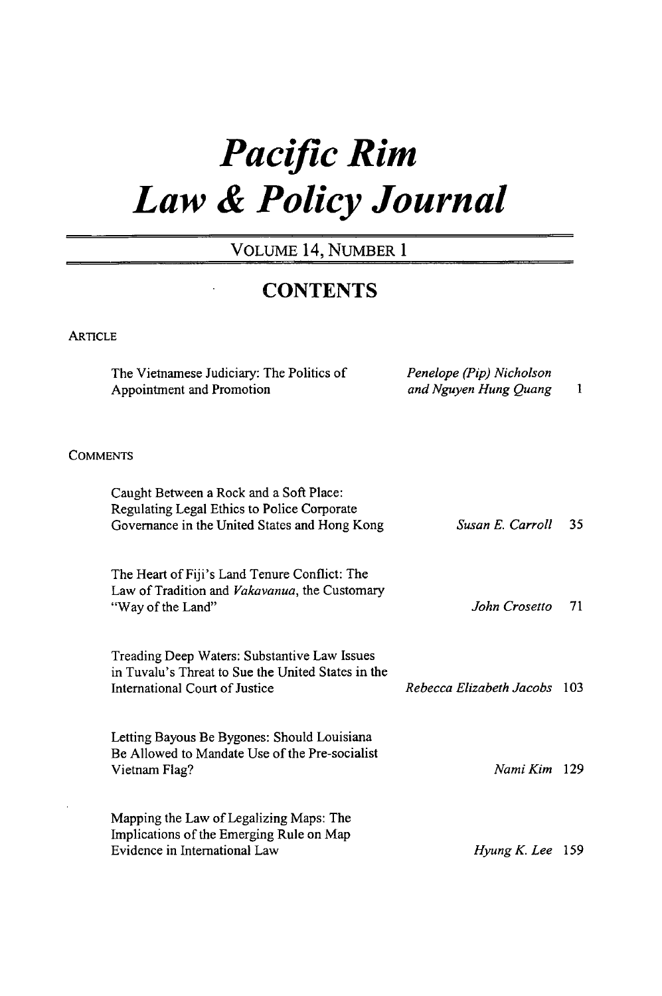# *Pacific Rim Law & Policy Journal*

### VOLUME 14, NUMBER 1

## **CONTENTS**

#### **ARTICLE**

|                 | The Vietnamese Judiciary: The Politics of<br>Appointment and Promotion                                                                  | Penelope (Pip) Nicholson<br>and Nguyen Hung Quang | 1   |
|-----------------|-----------------------------------------------------------------------------------------------------------------------------------------|---------------------------------------------------|-----|
| <b>COMMENTS</b> |                                                                                                                                         |                                                   |     |
|                 | Caught Between a Rock and a Soft Place:<br>Regulating Legal Ethics to Police Corporate<br>Governance in the United States and Hong Kong | Susan E. Carroll                                  | 35  |
|                 | The Heart of Fiji's Land Tenure Conflict: The<br>Law of Tradition and Vakavanua, the Customary<br>"Way of the Land"                     | John Crosetto                                     | 71  |
|                 | Treading Deep Waters: Substantive Law Issues<br>in Tuvalu's Threat to Sue the United States in the<br>International Court of Justice    | Rebecca Elizabeth Jacobs                          | 103 |
|                 | Letting Bayous Be Bygones: Should Louisiana<br>Be Allowed to Mandate Use of the Pre-socialist<br>Vietnam Flag?                          | Nami Kim 129                                      |     |
|                 | Mapping the Law of Legalizing Maps: The<br>Implications of the Emerging Rule on Map<br>Evidence in International Law                    | $Hvung K. Lee$ 159                                |     |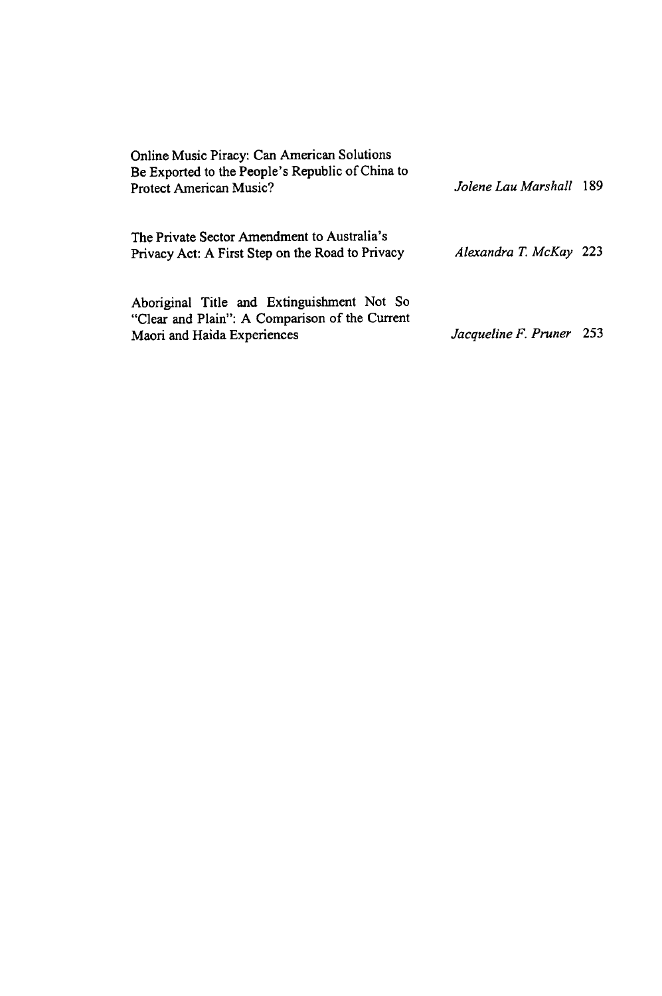| Online Music Piracy: Can American Solutions<br>Be Exported to the People's Republic of China to<br>Protect American Music?  | Jolene Lau Marshall 189  |  |
|-----------------------------------------------------------------------------------------------------------------------------|--------------------------|--|
| The Private Sector Amendment to Australia's<br>Privacy Act: A First Step on the Road to Privacy                             | Alexandra T. McKay 223   |  |
| Aboriginal Title and Extinguishment Not So<br>"Clear and Plain": A Comparison of the Current<br>Maori and Haida Experiences | Jacqueline F. Pruner 253 |  |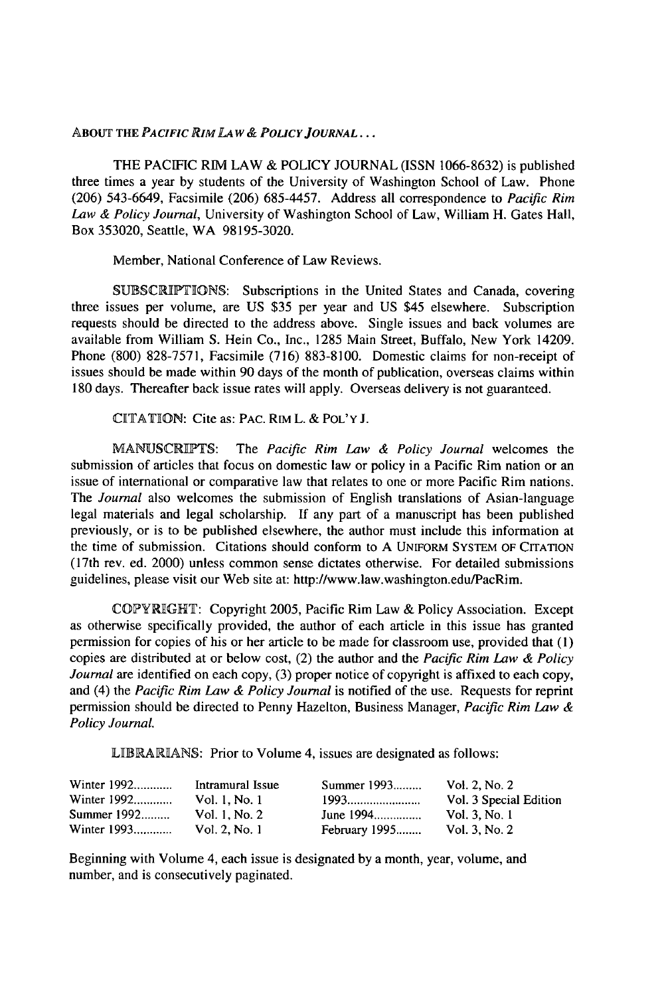#### **ABOUT THE** *PACIFIC RIM LAW& POLICY JOURNAL...*

THE PACIFIC RIM LAW & POLICY JOURNAL (ISSN 1066-8632) is published three times a year by students of the University of Washington School of Law. Phone (206) 543-6649, Facsimile (206) 685-4457. Address all correspondence to *Pacific Rim Law & Policy Journal,* University of Washington School of Law, William H. Gates Hall, Box 353020, Seattle, WA 98195-3020.

Member, National Conference of Law Reviews.

SUBSCRIPTIONS: Subscriptions in the United States and Canada, covering three issues per volume, are US \$35 per year and US \$45 elsewhere. Subscription requests should be directed to the address above. Single issues and back volumes are available from William S. Hein Co., Inc., 1285 Main Street, Buffalo, New York 14209. Phone (800) 828-7571, Facsimile (716) 883-8100. Domestic claims for non-receipt of issues should be made within 90 days of the month of publication, overseas claims within 180 days. Thereafter back issue rates will apply. Overseas delivery is not guaranteed.

CITATION: Cite as: PAC. RIM L. & POL'Y J.

MANUSCRIPTS: The *Pacific Rim Law & Policy Journal* welcomes the submission of articles that focus on domestic law or policy in a Pacific Rim nation or an issue of international or comparative law that relates to one or more Pacific Rim nations. The *Journal* also welcomes the submission of English translations of Asian-language legal materials and legal scholarship. **If** any part of a manuscript has been published previously, or is to be published elsewhere, the author must include this information at the time of submission. Citations should conform to A UNIFORM SYSTEM OF CITATION (17th rev. ed. 2000) unless common sense dictates otherwise. For detailed submissions guidelines, please visit our Web site at: http://www.law.washington.edu/PacRim.

COPYRIGHT: Copyright 2005, Pacific Rim Law & Policy Association. Except as otherwise specifically provided, the author of each article in this issue has granted permission for copies of his or her article to be made for classroom use, provided that **(1)** copies are distributed at or below cost, (2) the author and the *Pacific Rim Law & Policy Journal* are identified on each copy, (3) proper notice of copyright is affixed to each copy, and (4) the *Pacific Rim Law & Policy Journal* is notified of the use. Requests for reprint permission should be directed to Penny Hazelton, Business Manager, *Pacific Rim Law & Policy Journal.*

LIBRARIANS: Prior to Volume 4, issues are designated as follows:

| Winter 1992 | Intramural Issue | Summer 1993          | Vol. 2, No. 2          |
|-------------|------------------|----------------------|------------------------|
| Winter 1992 | Vol. 1. No. 1    | 1993                 | Vol. 3 Special Edition |
| Summer 1992 | Vol. 1. No. 2    | June 1994            | Vol. 3, No. 1          |
| Winter 1993 | Vol. 2, No. 1    | <b>February 1995</b> | Vol. 3. No. 2          |

Beginning with Volume 4, each issue is designated by a month, year, volume, and number, and is consecutively paginated.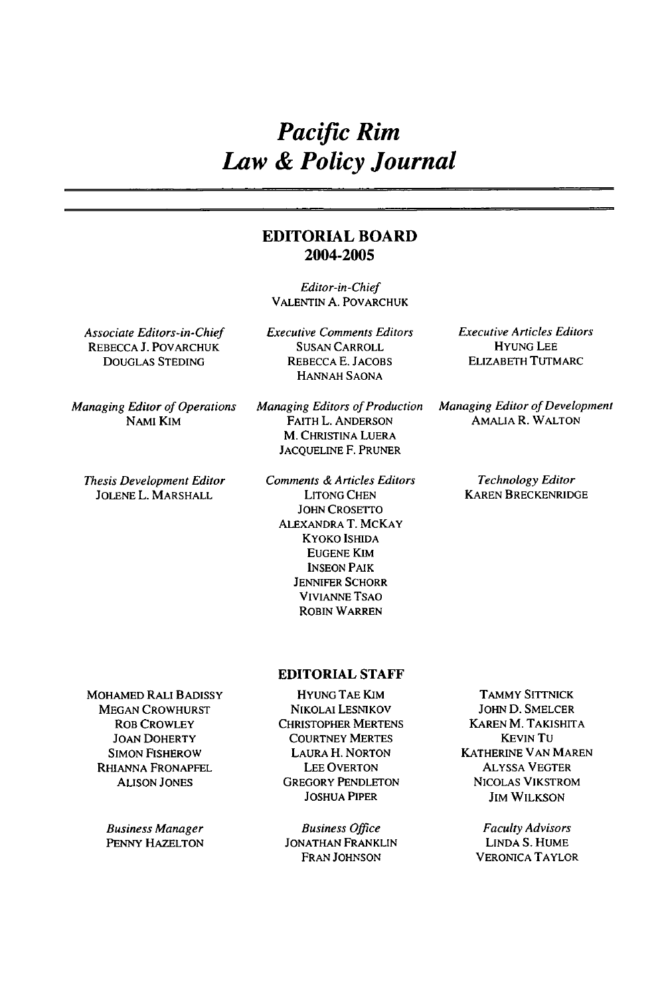## *Pacific Rim Law & Policy Journal*

#### **EDITORIAL BOARD 2004-2005**

Editor-in-Chief **VALENTIN A.** POVARCHUK

Associate Editors-in-Chief REBECCA **J.** POVARCHUK DOUGLAS STEDING

Managing Editor of Operations NAMI KIM

Thesis Development Editor JOLENE L. MARSHALL

Executive Comments Editors **SUSAN** CARROLL REBECCA E. **JACOBS** HANNAH SAONA

Managing Editors of Production FAITH L. ANDERSON M. CHRISTINA LUERA JACQUELINE F. PRUNER

Comments & Articles Editors LITONG CHEN JOHN CROSETTO ALEXANDRA T. MCKAY KYOKO ISHIDA EUGENE KIM INSEON PAIK **JENNIFER** SCHORR VIVIANNE TSAO ROBIN WARREN

Executive Articles Editors HYUNG **LEE** ELIZABETH TUTMARC

Managing Editor of Development AMALIA R. WALTON

> Technology Editor KAREN BRECKENRIDGE

MOHAMED RALI BADISSY MEGAN CROWHURST ROB CROWLEY

JOAN DOHERTY SIMON FISHEROW RHIANNA FRONAPFEL ALISON JONES

Business Manager PENNY HAZELTON

HYUNG **TAE** KIM NIKOLAI LESNIKOV CHRISTOPHER MERTENS COURTNEY MERTES LAURA H. NORTON LEE OVERTON GREGORY PENDLETON JOSHUA PIPER

**EDITORIAL STAFF**

Business Office JONATHAN FRANKLIN FRAN JOHNSON

TAMMY **SITTNICK** JOHN D. SMELCER KAREN M. TAKISHITA KEVIN TU KATHERINE VAN MAREN ALYSSA VEGTER NICOLAS VIKSTROM **JIM WILKSON** 

> Faculty Advisors LINDA S. HUME VERONICA TAYLOR